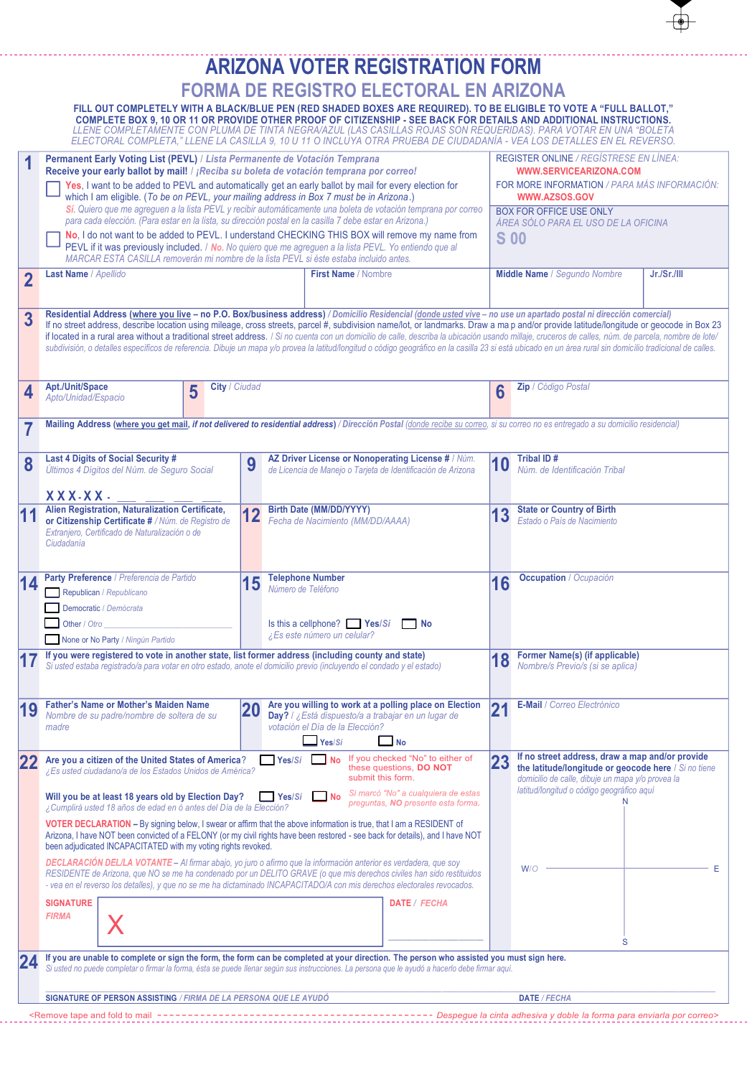|                |                                                                                                                                                                                                                                                                                                                                                                                                                                                                                                                                                                                                                                                                                                                                                                                    |                                                                                                                                                                                                                                                                                                                                                                          |                    |                                                                                                                                                                                                                                                                                                                                                                                                                                          | <b>ARIZONA VOTER REGISTRATION FORM</b>                                                                                                                    |                                                                               |                                                                                                                                          |                                                                                                                                                                                                                                                                                                                                                                                                                                                                                        |  |
|----------------|------------------------------------------------------------------------------------------------------------------------------------------------------------------------------------------------------------------------------------------------------------------------------------------------------------------------------------------------------------------------------------------------------------------------------------------------------------------------------------------------------------------------------------------------------------------------------------------------------------------------------------------------------------------------------------------------------------------------------------------------------------------------------------|--------------------------------------------------------------------------------------------------------------------------------------------------------------------------------------------------------------------------------------------------------------------------------------------------------------------------------------------------------------------------|--------------------|------------------------------------------------------------------------------------------------------------------------------------------------------------------------------------------------------------------------------------------------------------------------------------------------------------------------------------------------------------------------------------------------------------------------------------------|-----------------------------------------------------------------------------------------------------------------------------------------------------------|-------------------------------------------------------------------------------|------------------------------------------------------------------------------------------------------------------------------------------|----------------------------------------------------------------------------------------------------------------------------------------------------------------------------------------------------------------------------------------------------------------------------------------------------------------------------------------------------------------------------------------------------------------------------------------------------------------------------------------|--|
|                |                                                                                                                                                                                                                                                                                                                                                                                                                                                                                                                                                                                                                                                                                                                                                                                    |                                                                                                                                                                                                                                                                                                                                                                          |                    |                                                                                                                                                                                                                                                                                                                                                                                                                                          | <b>FORMA DE REGISTRO ELECTORAL EN ARIZONA</b>                                                                                                             |                                                                               |                                                                                                                                          |                                                                                                                                                                                                                                                                                                                                                                                                                                                                                        |  |
|                |                                                                                                                                                                                                                                                                                                                                                                                                                                                                                                                                                                                                                                                                                                                                                                                    |                                                                                                                                                                                                                                                                                                                                                                          |                    |                                                                                                                                                                                                                                                                                                                                                                                                                                          |                                                                                                                                                           |                                                                               |                                                                                                                                          | FILL OUT COMPLETELY WITH A BLACK/BLUE PEN (RED SHADED BOXES ARE REQUIRED). TO BE ELIGIBLE TO VOTE A "FULL BALLOT,"<br>COMPLETE BOX 9, 10 OR 11 OR PROVIDE OTHER PROOF OF CITIZENSHIP - SEE BACK FOR DETAILS AND ADDITIONAL INSTRUCTIONS.<br>LLENE COMPLETAMENTE CON PLUMA DE TINTA NEGRA/AZUL (LAS CASILLAS ROJAS SON REQUERIDAS). PARA VOTAR EN UNA "BOLETA<br>ELECTORAL COMPLETA," LLENE LA CASILLA 9, 10 U 11 O INCLUYA OTRA PRUEBA DE CIUDADANÍA - VEA LOS DETALLES EN EL REVERSO. |  |
|                |                                                                                                                                                                                                                                                                                                                                                                                                                                                                                                                                                                                                                                                                                                                                                                                    | Permanent Early Voting List (PEVL) / Lista Permanente de Votación Temprana<br>Receive your early ballot by mail! / ¡Reciba su boleta de votación temprana por correo!<br>Yes, I want to be added to PEVL and automatically get an early ballot by mail for every election for<br>which I am eligible. (To be on PEVL, your mailing address in Box 7 must be in Arizona.) |                    |                                                                                                                                                                                                                                                                                                                                                                                                                                          |                                                                                                                                                           |                                                                               | <b>REGISTER ONLINE / REGÍSTRESE EN LÍNEA:</b><br>WWW.SERVICEARIZONA.COM<br>FOR MORE INFORMATION / PARA MÁS INFORMACIÓN:<br>WWW.AZSOS.GOV |                                                                                                                                                                                                                                                                                                                                                                                                                                                                                        |  |
|                |                                                                                                                                                                                                                                                                                                                                                                                                                                                                                                                                                                                                                                                                                                                                                                                    |                                                                                                                                                                                                                                                                                                                                                                          |                    | Sí. Quiero que me agreguen a la lista PEVL y recibir automáticamente una boleta de votación temprana por correo<br>para cada elección. (Para estar en la lista, su dirección postal en la casilla 7 debe estar en Arizona.)<br>No, I do not want to be added to PEVL. I understand CHECKING THIS BOX will remove my name from<br>PEVL if it was previously included. / No. No quiero que me agreguen a la lista PEVL. Yo entiendo que al |                                                                                                                                                           | BOX FOR OFFICE USE ONLY<br>ÁREA SÓLO PARA EL USO DE LA OFICINA<br><b>S</b> 00 |                                                                                                                                          |                                                                                                                                                                                                                                                                                                                                                                                                                                                                                        |  |
| $\overline{2}$ | MARCAR ESTA CASILLA removerán mi nombre de la lista PEVL si éste estaba incluido antes.<br><b>Last Name / Apellido</b><br>First Name / Nombre                                                                                                                                                                                                                                                                                                                                                                                                                                                                                                                                                                                                                                      |                                                                                                                                                                                                                                                                                                                                                                          |                    |                                                                                                                                                                                                                                                                                                                                                                                                                                          |                                                                                                                                                           |                                                                               | Middle Name / Segundo Nombre<br>Jr./Sr./III                                                                                              |                                                                                                                                                                                                                                                                                                                                                                                                                                                                                        |  |
| 3              | Residential Address (where you live - no P.O. Box/business address) / Domicilio Residencial (donde usted vive - no use un apartado postal ni dirección comercial)<br>If no street address, describe location using mileage, cross streets, parcel #, subdivision name/lot, or landmarks. Draw a map and/or provide latitude/longitude or geocode in Box 23<br>if located in a rural area without a traditional street address. / Si no cuenta con un domicilio de calle, describa la ubicación usando millaje, cruceros de calles, núm. de parcela, nombre de lote/<br>subdivisión, o detalles específicos de referencia. Dibuje un mapa y/o provea la latitud/longitud o código geográfico en la casilla 23 si está ubicado en un área rural sin domicilio tradicional de calles. |                                                                                                                                                                                                                                                                                                                                                                          |                    |                                                                                                                                                                                                                                                                                                                                                                                                                                          |                                                                                                                                                           |                                                                               |                                                                                                                                          |                                                                                                                                                                                                                                                                                                                                                                                                                                                                                        |  |
| 4              | Apt./Unit/Space<br>Apto/Unidad/Espacio                                                                                                                                                                                                                                                                                                                                                                                                                                                                                                                                                                                                                                                                                                                                             |                                                                                                                                                                                                                                                                                                                                                                          | City / Ciudad<br>5 |                                                                                                                                                                                                                                                                                                                                                                                                                                          |                                                                                                                                                           |                                                                               | 6                                                                                                                                        | Zip / Código Postal                                                                                                                                                                                                                                                                                                                                                                                                                                                                    |  |
|                |                                                                                                                                                                                                                                                                                                                                                                                                                                                                                                                                                                                                                                                                                                                                                                                    |                                                                                                                                                                                                                                                                                                                                                                          |                    |                                                                                                                                                                                                                                                                                                                                                                                                                                          |                                                                                                                                                           |                                                                               |                                                                                                                                          | Mailing Address (where you get mail, if not delivered to residential address) / Dirección Postal (donde recibe su correo, si su correo no es entregado a su domicilio residencial)                                                                                                                                                                                                                                                                                                     |  |
| 8              | Last 4 Digits of Social Security #<br>Últimos 4 Dígitos del Núm. de Seguro Social                                                                                                                                                                                                                                                                                                                                                                                                                                                                                                                                                                                                                                                                                                  |                                                                                                                                                                                                                                                                                                                                                                          |                    | 9                                                                                                                                                                                                                                                                                                                                                                                                                                        | AZ Driver License or Nonoperating License # / Núm.<br>de Licencia de Manejo o Tarjeta de Identificación de Arizona                                        |                                                                               | 10                                                                                                                                       | Tribal ID#<br>Núm, de Identificación Tribal                                                                                                                                                                                                                                                                                                                                                                                                                                            |  |
|                | XXX-XX-<br>Alien Registration, Naturalization Certificate,<br>or Citizenship Certificate # / Núm. de Registro de<br>Extranjero, Certificado de Naturalización o de<br>Ciudadanía                                                                                                                                                                                                                                                                                                                                                                                                                                                                                                                                                                                                   |                                                                                                                                                                                                                                                                                                                                                                          |                    | 12                                                                                                                                                                                                                                                                                                                                                                                                                                       | <b>Birth Date (MM/DD/YYYY)</b><br>Fecha de Nacimiento (MM/DD/AAAA)                                                                                        |                                                                               | 13                                                                                                                                       | <b>State or Country of Birth</b><br>Estado o País de Nacimiento                                                                                                                                                                                                                                                                                                                                                                                                                        |  |
|                | Party Preference / Preferencia de Partido<br>Republican / Republicano<br>Democratic / Demócrata<br>Other / Otro<br>None or No Party / Ningún Partido                                                                                                                                                                                                                                                                                                                                                                                                                                                                                                                                                                                                                               |                                                                                                                                                                                                                                                                                                                                                                          |                    | 15                                                                                                                                                                                                                                                                                                                                                                                                                                       | <b>Telephone Number</b><br>Número de Teléfono<br>Is this a cellphone? $Yes/Si$<br>¿Es este número un celular?                                             | <b>No</b>                                                                     | 16                                                                                                                                       | <b>Occupation</b> / Ocupación                                                                                                                                                                                                                                                                                                                                                                                                                                                          |  |
|                | If you were registered to vote in another state, list former address (including county and state)<br>Si usted estaba registrado/a para votar en otro estado, anote el domicilio previo (incluyendo el condado y el estado)                                                                                                                                                                                                                                                                                                                                                                                                                                                                                                                                                         |                                                                                                                                                                                                                                                                                                                                                                          |                    |                                                                                                                                                                                                                                                                                                                                                                                                                                          |                                                                                                                                                           |                                                                               | 18                                                                                                                                       | <b>Former Name(s) (if applicable)</b><br>Nombre/s Previo/s (si se aplica)                                                                                                                                                                                                                                                                                                                                                                                                              |  |
| 19             | <b>Father's Name or Mother's Maiden Name</b><br>Nombre de su padre/nombre de soltera de su<br>madre                                                                                                                                                                                                                                                                                                                                                                                                                                                                                                                                                                                                                                                                                |                                                                                                                                                                                                                                                                                                                                                                          |                    | 20                                                                                                                                                                                                                                                                                                                                                                                                                                       | Are you willing to work at a polling place on Election<br>Day? / ¿Está dispuesto/a a trabajar en un lugar de<br>votación el Día de la Elección?<br>Yes/Si | $\blacksquare$ No                                                             | $\overline{2}$<br>41                                                                                                                     | E-Mail / Correo Electrónico                                                                                                                                                                                                                                                                                                                                                                                                                                                            |  |
| 22             |                                                                                                                                                                                                                                                                                                                                                                                                                                                                                                                                                                                                                                                                                                                                                                                    | $\sqrt{\frac{1}{1-\epsilon}}$ Yes/Si $\sqrt{\frac{1}{1-\epsilon}}$ No If you checked "No" to either of<br>Are you a citizen of the United States of America?<br>these questions, DO NOT<br>¿Es usted ciudadano/a de los Estados Unidos de América?<br>submit this form.                                                                                                  |                    |                                                                                                                                                                                                                                                                                                                                                                                                                                          |                                                                                                                                                           |                                                                               |                                                                                                                                          | If no street address, draw a map and/or provide<br>the latitude/longitude or geocode here / Si no tiene<br>domicilio de calle, dibuje un mapa y/o provea la<br>latitud/longitud o código geográfico aquí                                                                                                                                                                                                                                                                               |  |
|                | Si marcó "No" a cualquiera de estas<br>Will you be at least 18 years old by Election Day?<br>Yes/Si<br>l INo<br>preguntas, NO presente esta forma.<br>¿Cumplirá usted 18 años de edad en ó antes del Día de la Elección?<br>VOTER DECLARATION - By signing below, I swear or affirm that the above information is true, that I am a RESIDENT of<br>Arizona, I have NOT been convicted of a FELONY (or my civil rights have been restored - see back for details), and I have NOT<br>been adjudicated INCAPACITATED with my voting rights revoked.                                                                                                                                                                                                                                  |                                                                                                                                                                                                                                                                                                                                                                          |                    |                                                                                                                                                                                                                                                                                                                                                                                                                                          |                                                                                                                                                           |                                                                               |                                                                                                                                          |                                                                                                                                                                                                                                                                                                                                                                                                                                                                                        |  |
|                | <b>DECLARACIÓN DEL/LA VOTANTE - Al firmar abajo, yo juro o afirmo que la información anterior es verdadera, que soy</b><br>RESIDENTE de Arizona, que NO se me ha condenado por un DELITO GRAVE (o que mis derechos civiles han sido restituidos<br>- vea en el reverso los detalles), y que no se me ha dictaminado INCAPACITADO/A con mis derechos electorales revocados.                                                                                                                                                                                                                                                                                                                                                                                                         |                                                                                                                                                                                                                                                                                                                                                                          |                    |                                                                                                                                                                                                                                                                                                                                                                                                                                          |                                                                                                                                                           |                                                                               |                                                                                                                                          | W/O                                                                                                                                                                                                                                                                                                                                                                                                                                                                                    |  |
|                | <b>SIGNATURE</b><br><b>FIRMA</b>                                                                                                                                                                                                                                                                                                                                                                                                                                                                                                                                                                                                                                                                                                                                                   |                                                                                                                                                                                                                                                                                                                                                                          |                    |                                                                                                                                                                                                                                                                                                                                                                                                                                          | DATE / FECHA                                                                                                                                              |                                                                               | S                                                                                                                                        |                                                                                                                                                                                                                                                                                                                                                                                                                                                                                        |  |
| 24             |                                                                                                                                                                                                                                                                                                                                                                                                                                                                                                                                                                                                                                                                                                                                                                                    | If you are unable to complete or sign the form, the form can be completed at your direction. The person who assisted you must sign here.<br>Si usted no puede completar o firmar la forma, ésta se puede llenar según sus instrucciones. La persona que le ayudó a hacerlo debe firmar aquí.                                                                             |                    |                                                                                                                                                                                                                                                                                                                                                                                                                                          |                                                                                                                                                           |                                                                               |                                                                                                                                          |                                                                                                                                                                                                                                                                                                                                                                                                                                                                                        |  |
|                | SIGNATURE OF PERSON ASSISTING / FIRMA DE LA PERSONA QUE LE AYUDÓ                                                                                                                                                                                                                                                                                                                                                                                                                                                                                                                                                                                                                                                                                                                   |                                                                                                                                                                                                                                                                                                                                                                          |                    |                                                                                                                                                                                                                                                                                                                                                                                                                                          |                                                                                                                                                           |                                                                               |                                                                                                                                          | <b>DATE / FECHA</b>                                                                                                                                                                                                                                                                                                                                                                                                                                                                    |  |
|                | <remove <math="" and="" fold="" mail="" tape="" to="">- - - - -</remove>                                                                                                                                                                                                                                                                                                                                                                                                                                                                                                                                                                                                                                                                                                           |                                                                                                                                                                                                                                                                                                                                                                          |                    |                                                                                                                                                                                                                                                                                                                                                                                                                                          |                                                                                                                                                           |                                                                               |                                                                                                                                          |                                                                                                                                                                                                                                                                                                                                                                                                                                                                                        |  |

444

44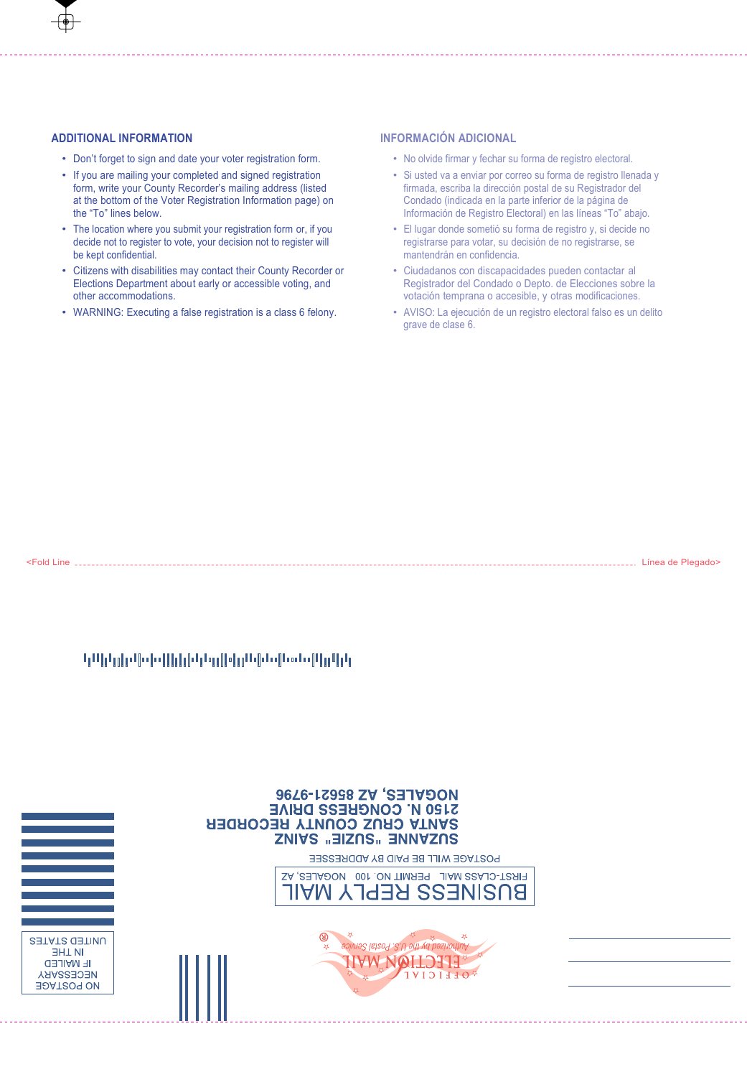# **ADDITIONAL INFORMATION**

- Don't forget to sign and date your voter registration form.
- If you are mailing your completed and signed registration form, write your County Recorder's mailing address (listed at the bottom of the Voter Registration Information page) on the "To" lines below.
- The location where you submit your registration form or, if you decide not to register to vote, your decision not to register will be kept confidential.
- Citizens with disabilities may contact their County Recorder or Elections Department about early or accessible voting, and other accommodations.
- WARNING: Executing a false registration is a class 6 felony.

# **INFORMACIÓN ADICIONAL**

- No olvide firmar y fechar su forma de registro electoral.
- Si usted va a enviar por correo su forma de registro llenada y firmada, escriba la dirección postal de su Registrador del Condado (indicada en la parte inferior de la página de Información de Registro Electoral) en las líneas "To" abajo.
- El lugar donde sometió su forma de registro y, si decide no registrarse para votar, su decisión de no registrarse, se mantendrán en confidencia.
- Ciudadanos con discapacidades pueden contactar al Registrador del Condado o Depto. de Elecciones sobre la votación temprana o accesible, y otras modificaciones.
- AVISO: La ejecución de un registro electoral falso es un delito grave de clase 6.

<Fold Line Línea de Plegado>

# կԱիկլի վախիկի ինչպիկը հինգնանվեր կր

|                                                                                          | <b>NOGALES, AZ 85621-9796</b><br><b>S120 N' CONGHESS DHIVE</b><br><b>SANTA CRUS COUNTY RECORDER</b><br>SUZANNE "SUZIE" SAINZ |  |
|------------------------------------------------------------------------------------------|------------------------------------------------------------------------------------------------------------------------------|--|
|                                                                                          | <b>POSTAGE WILL BE PAID BY ADDRESSEE</b>                                                                                     |  |
|                                                                                          | FIRST-CLASS MAIL PERMIT NO. 100 NOGALES, AZ<br>BNSINESS KEPLY MAIL                                                           |  |
| UNITED STATES<br><b>THE</b><br><b>IF MAILED</b><br><b>NECESSARY</b><br><b>JOAT209 ON</b> | ⊛<br>adiyas latsoy 3.0 adi ya bashontur                                                                                      |  |